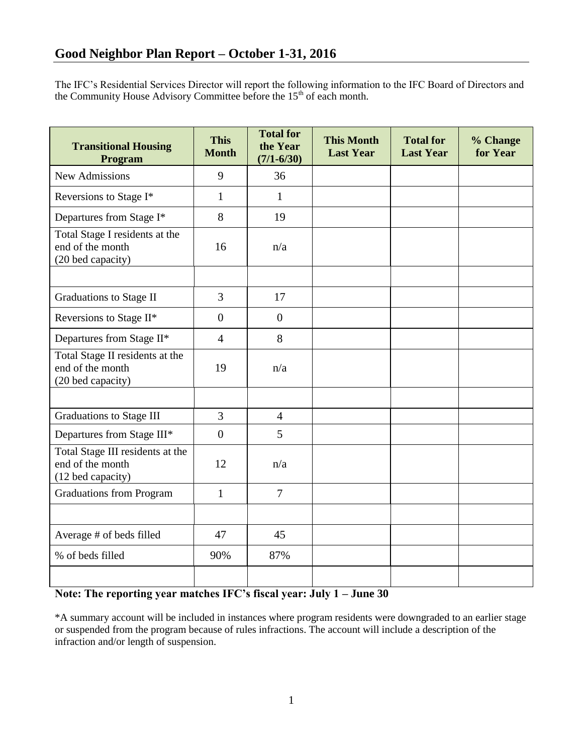The IFC's Residential Services Director will report the following information to the IFC Board of Directors and the Community House Advisory Committee before the  $15<sup>th</sup>$  of each month.

| <b>Transitional Housing</b><br>Program                                    | <b>This</b><br><b>Month</b> | <b>Total for</b><br>the Year<br>$(7/1 - 6/30)$ | <b>This Month</b><br><b>Last Year</b> | <b>Total for</b><br><b>Last Year</b> | % Change<br>for Year |
|---------------------------------------------------------------------------|-----------------------------|------------------------------------------------|---------------------------------------|--------------------------------------|----------------------|
| <b>New Admissions</b>                                                     | 9                           | 36                                             |                                       |                                      |                      |
| Reversions to Stage I*                                                    | 1                           | $\mathbf{1}$                                   |                                       |                                      |                      |
| Departures from Stage I*                                                  | 8                           | 19                                             |                                       |                                      |                      |
| Total Stage I residents at the<br>end of the month<br>(20 bed capacity)   | 16                          | n/a                                            |                                       |                                      |                      |
|                                                                           |                             |                                                |                                       |                                      |                      |
| Graduations to Stage II                                                   | 3                           | 17                                             |                                       |                                      |                      |
| Reversions to Stage II*                                                   | $\boldsymbol{0}$            | $\overline{0}$                                 |                                       |                                      |                      |
| Departures from Stage II*                                                 | $\overline{4}$              | 8                                              |                                       |                                      |                      |
| Total Stage II residents at the<br>end of the month<br>(20 bed capacity)  | 19                          | n/a                                            |                                       |                                      |                      |
|                                                                           |                             |                                                |                                       |                                      |                      |
| <b>Graduations to Stage III</b>                                           | $\overline{3}$              | $\overline{4}$                                 |                                       |                                      |                      |
| Departures from Stage III*                                                | $\boldsymbol{0}$            | 5                                              |                                       |                                      |                      |
| Total Stage III residents at the<br>end of the month<br>(12 bed capacity) | 12                          | n/a                                            |                                       |                                      |                      |
| <b>Graduations from Program</b>                                           | $\mathbf{1}$                | $\overline{7}$                                 |                                       |                                      |                      |
|                                                                           |                             |                                                |                                       |                                      |                      |
| Average # of beds filled                                                  | 47                          | 45                                             |                                       |                                      |                      |
| % of beds filled                                                          | 90%                         | 87%                                            |                                       |                                      |                      |
|                                                                           |                             |                                                |                                       |                                      |                      |

## **Note: The reporting year matches IFC's fiscal year: July 1 – June 30**

\*A summary account will be included in instances where program residents were downgraded to an earlier stage or suspended from the program because of rules infractions. The account will include a description of the infraction and/or length of suspension.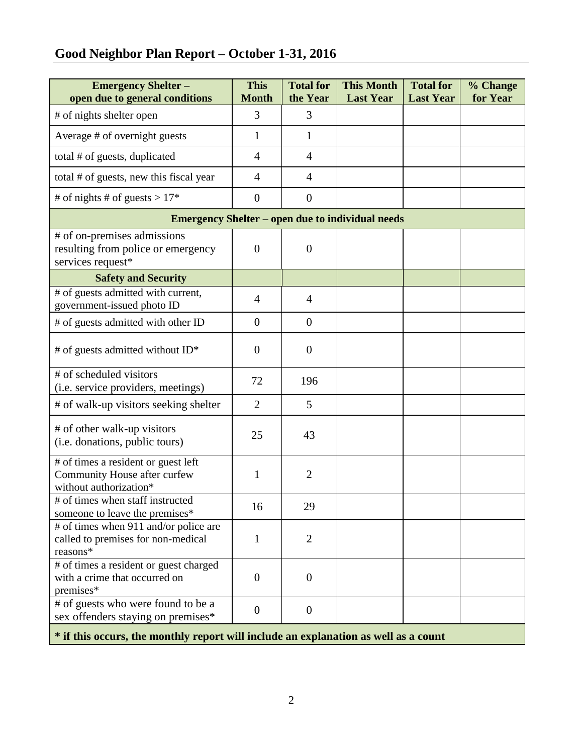## **Good Neighbor Plan Report – October 1-31, 2016**

| <b>Emergency Shelter -</b><br>open due to general conditions                                  | <b>This</b><br><b>Month</b> | <b>Total for</b><br>the Year | <b>This Month</b><br><b>Last Year</b> | <b>Total for</b><br><b>Last Year</b> | % Change<br>for Year |  |  |  |
|-----------------------------------------------------------------------------------------------|-----------------------------|------------------------------|---------------------------------------|--------------------------------------|----------------------|--|--|--|
| # of nights shelter open                                                                      | 3                           | 3                            |                                       |                                      |                      |  |  |  |
| Average # of overnight guests                                                                 | $\mathbf{1}$                | 1                            |                                       |                                      |                      |  |  |  |
| total # of guests, duplicated                                                                 | $\overline{4}$              | 4                            |                                       |                                      |                      |  |  |  |
| total # of guests, new this fiscal year                                                       | $\overline{4}$              | $\overline{4}$               |                                       |                                      |                      |  |  |  |
| # of nights # of guests > $17*$                                                               | $\overline{0}$              | $\theta$                     |                                       |                                      |                      |  |  |  |
| <b>Emergency Shelter – open due to individual needs</b>                                       |                             |                              |                                       |                                      |                      |  |  |  |
| # of on-premises admissions<br>resulting from police or emergency<br>services request*        | $\mathbf{0}$                | $\overline{0}$               |                                       |                                      |                      |  |  |  |
| <b>Safety and Security</b>                                                                    |                             |                              |                                       |                                      |                      |  |  |  |
| # of guests admitted with current,<br>government-issued photo ID                              | $\overline{4}$              | $\overline{4}$               |                                       |                                      |                      |  |  |  |
| # of guests admitted with other ID                                                            | $\theta$                    | $\overline{0}$               |                                       |                                      |                      |  |  |  |
| # of guests admitted without $ID^*$                                                           | $\theta$                    | $\theta$                     |                                       |                                      |                      |  |  |  |
| # of scheduled visitors<br>(i.e. service providers, meetings)                                 | 72                          | 196                          |                                       |                                      |                      |  |  |  |
| # of walk-up visitors seeking shelter                                                         | $\overline{2}$              | 5                            |                                       |                                      |                      |  |  |  |
| # of other walk-up visitors<br>(i.e. donations, public tours)                                 | 25                          | 43                           |                                       |                                      |                      |  |  |  |
| # of times a resident or guest left<br>Community House after curfew<br>without authorization* | 1                           | $\overline{2}$               |                                       |                                      |                      |  |  |  |
| # of times when staff instructed<br>someone to leave the premises*                            | 16                          | 29                           |                                       |                                      |                      |  |  |  |
| # of times when 911 and/or police are<br>called to premises for non-medical<br>reasons*       | $\mathbf{1}$                | $\overline{2}$               |                                       |                                      |                      |  |  |  |
| # of times a resident or guest charged<br>with a crime that occurred on<br>premises*          | $\overline{0}$              | $\theta$                     |                                       |                                      |                      |  |  |  |
| # of guests who were found to be a<br>sex offenders staying on premises*                      | $\overline{0}$              | $\overline{0}$               |                                       |                                      |                      |  |  |  |
| * if this occurs, the monthly report will include an explanation as well as a count           |                             |                              |                                       |                                      |                      |  |  |  |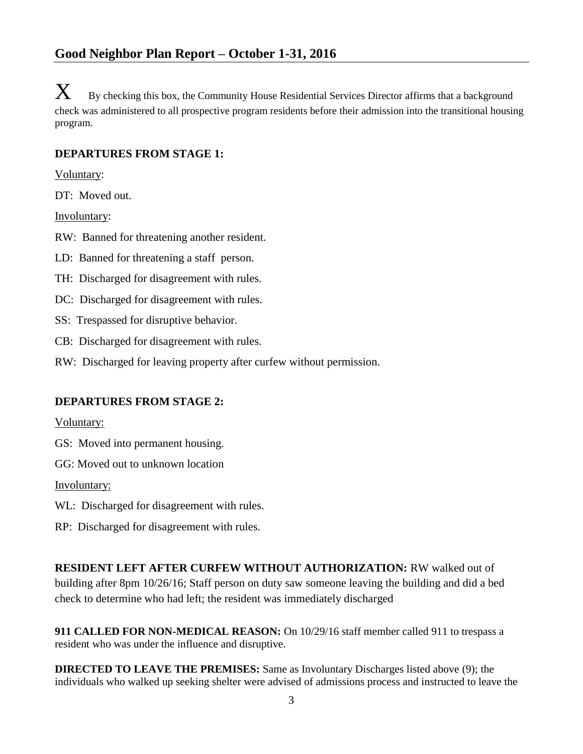$\mathbf{X}_{\text{B}}$  By checking this box, the Community House Residential Services Director affirms that a background check was administered to all prospective program residents before their admission into the transitional housing program.

## **DEPARTURES FROM STAGE 1:**

Voluntary:

DT: Moved out.

Involuntary:

RW: Banned for threatening another resident.

LD: Banned for threatening a staff person.

TH: Discharged for disagreement with rules.

DC: Discharged for disagreement with rules.

SS: Trespassed for disruptive behavior.

CB: Discharged for disagreement with rules.

RW: Discharged for leaving property after curfew without permission.

## **DEPARTURES FROM STAGE 2:**

Voluntary:

GS: Moved into permanent housing.

GG: Moved out to unknown location

Involuntary:

WL: Discharged for disagreement with rules.

RP: Discharged for disagreement with rules.

**RESIDENT LEFT AFTER CURFEW WITHOUT AUTHORIZATION:** RW walked out of building after 8pm 10/26/16; Staff person on duty saw someone leaving the building and did a bed check to determine who had left; the resident was immediately discharged

**911 CALLED FOR NON-MEDICAL REASON:** On 10/29/16 staff member called 911 to trespass a resident who was under the influence and disruptive.

**DIRECTED TO LEAVE THE PREMISES:** Same as Involuntary Discharges listed above (9); the individuals who walked up seeking shelter were advised of admissions process and instructed to leave the